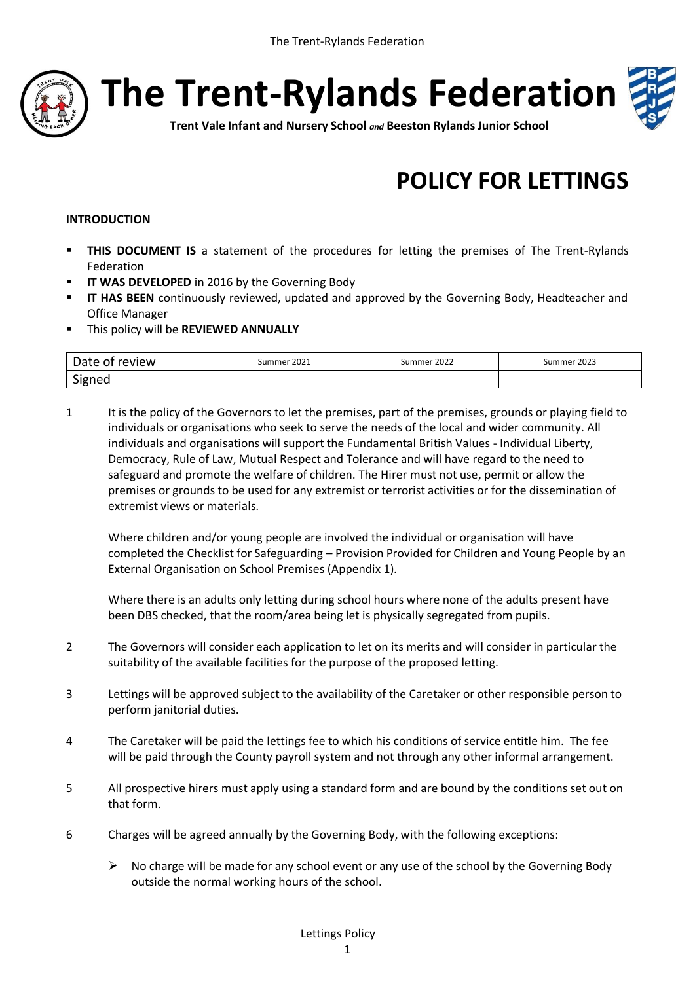

**The Trent-Rylands Federation**



**Trent Vale Infant and Nursery School** *and* **Beeston Rylands Junior School**

# **POLICY FOR LETTINGS**

#### **INTRODUCTION**

- **THIS DOCUMENT IS** a statement of the procedures for letting the premises of The Trent-Rylands Federation
- **IF WAS DEVELOPED** in 2016 by the Governing Body
- **IT HAS BEEN** continuously reviewed, updated and approved by the Governing Body, Headteacher and Office Manager
- This policy will be **REVIEWED ANNUALLY**

| Date of<br>review | Summer 2021 | 2022<br>.summer 1 | Summer 2023 |
|-------------------|-------------|-------------------|-------------|
| Signed            |             |                   |             |

1 It is the policy of the Governors to let the premises, part of the premises, grounds or playing field to individuals or organisations who seek to serve the needs of the local and wider community. All individuals and organisations will support the Fundamental British Values - Individual Liberty, Democracy, Rule of Law, Mutual Respect and Tolerance and will have regard to the need to safeguard and promote the welfare of children. The Hirer must not use, permit or allow the premises or grounds to be used for any extremist or terrorist activities or for the dissemination of extremist views or materials.

Where children and/or young people are involved the individual or organisation will have completed the Checklist for Safeguarding – Provision Provided for Children and Young People by an External Organisation on School Premises (Appendix 1).

Where there is an adults only letting during school hours where none of the adults present have been DBS checked, that the room/area being let is physically segregated from pupils.

- 2 The Governors will consider each application to let on its merits and will consider in particular the suitability of the available facilities for the purpose of the proposed letting.
- 3 Lettings will be approved subject to the availability of the Caretaker or other responsible person to perform janitorial duties.
- 4 The Caretaker will be paid the lettings fee to which his conditions of service entitle him. The fee will be paid through the County payroll system and not through any other informal arrangement.
- 5 All prospective hirers must apply using a standard form and are bound by the conditions set out on that form.
- 6 Charges will be agreed annually by the Governing Body, with the following exceptions:
	- No charge will be made for any school event or any use of the school by the Governing Body outside the normal working hours of the school.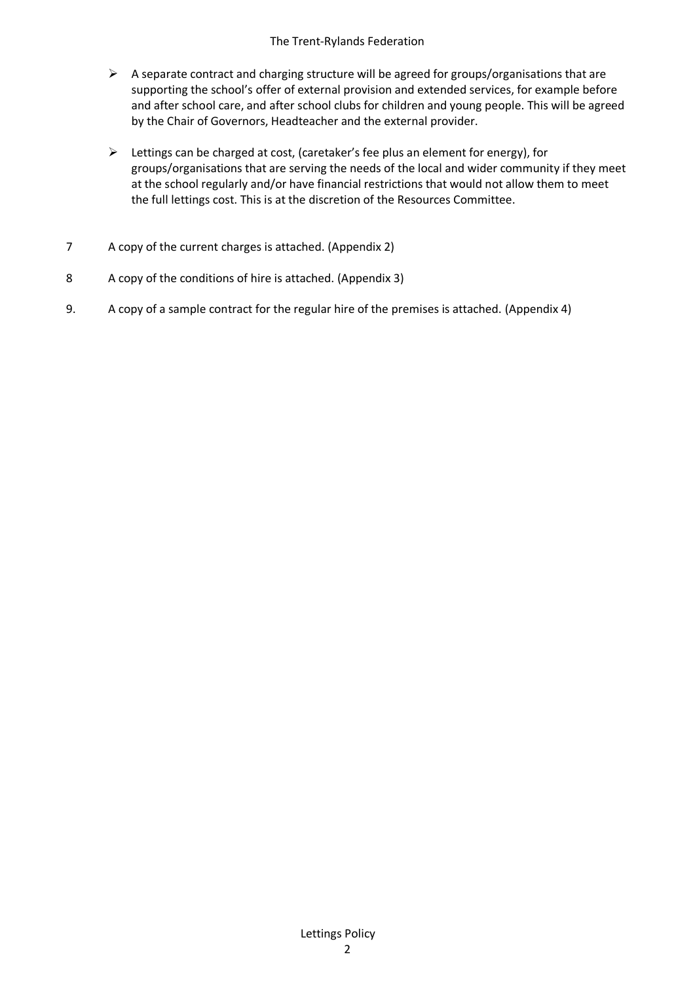- $\triangleright$  A separate contract and charging structure will be agreed for groups/organisations that are supporting the school's offer of external provision and extended services, for example before and after school care, and after school clubs for children and young people. This will be agreed by the Chair of Governors, Headteacher and the external provider.
- $\triangleright$  Lettings can be charged at cost, (caretaker's fee plus an element for energy), for groups/organisations that are serving the needs of the local and wider community if they meet at the school regularly and/or have financial restrictions that would not allow them to meet the full lettings cost. This is at the discretion of the Resources Committee.
- 7 A copy of the current charges is attached. (Appendix 2)
- 8 A copy of the conditions of hire is attached. (Appendix 3)
- 9. A copy of a sample contract for the regular hire of the premises is attached. (Appendix 4)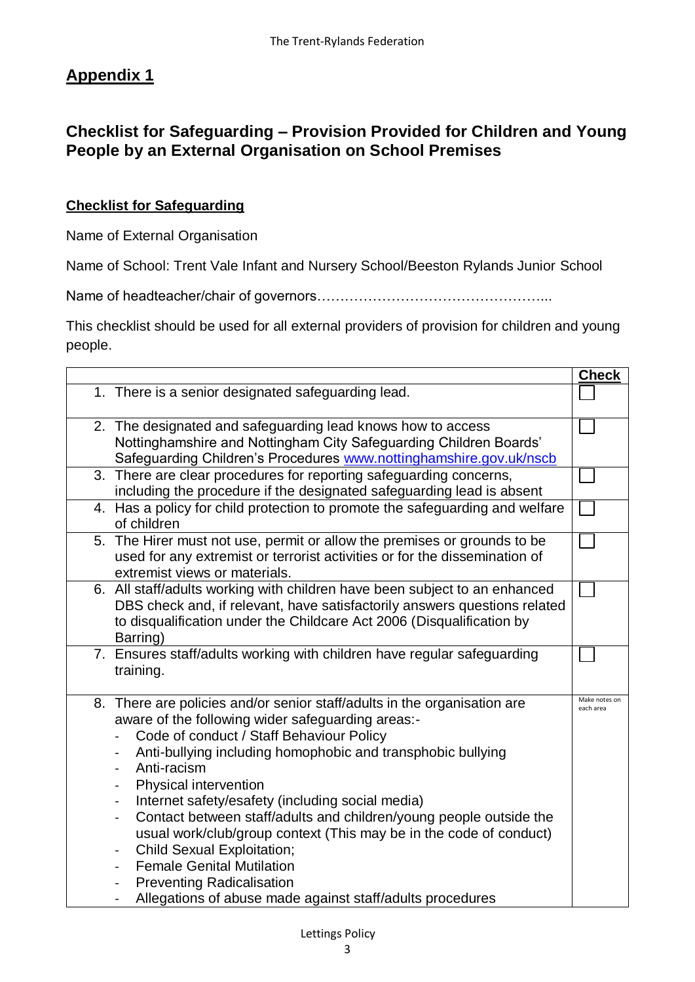# **Checklist for Safeguarding – Provision Provided for Children and Young People by an External Organisation on School Premises**

# **Checklist for Safeguarding**

Name of External Organisation

Name of School: Trent Vale Infant and Nursery School/Beeston Rylands Junior School

Name of headteacher/chair of governors…………………………………………...

This checklist should be used for all external providers of provision for children and young people.

|                                                                                                                                                                                                                                                                                                                                                                                                                                                                                                                                                                                                                                                                                             | <b>Check</b>               |
|---------------------------------------------------------------------------------------------------------------------------------------------------------------------------------------------------------------------------------------------------------------------------------------------------------------------------------------------------------------------------------------------------------------------------------------------------------------------------------------------------------------------------------------------------------------------------------------------------------------------------------------------------------------------------------------------|----------------------------|
| 1. There is a senior designated safeguarding lead.                                                                                                                                                                                                                                                                                                                                                                                                                                                                                                                                                                                                                                          |                            |
| 2. The designated and safeguarding lead knows how to access<br>Nottinghamshire and Nottingham City Safeguarding Children Boards'<br>Safeguarding Children's Procedures www.nottinghamshire.gov.uk/nscb                                                                                                                                                                                                                                                                                                                                                                                                                                                                                      |                            |
| 3. There are clear procedures for reporting safeguarding concerns,<br>including the procedure if the designated safeguarding lead is absent                                                                                                                                                                                                                                                                                                                                                                                                                                                                                                                                                 |                            |
| 4. Has a policy for child protection to promote the safeguarding and welfare<br>of children                                                                                                                                                                                                                                                                                                                                                                                                                                                                                                                                                                                                 |                            |
| 5. The Hirer must not use, permit or allow the premises or grounds to be<br>used for any extremist or terrorist activities or for the dissemination of<br>extremist views or materials.                                                                                                                                                                                                                                                                                                                                                                                                                                                                                                     |                            |
| 6. All staff/adults working with children have been subject to an enhanced<br>DBS check and, if relevant, have satisfactorily answers questions related<br>to disqualification under the Childcare Act 2006 (Disqualification by<br>Barring)                                                                                                                                                                                                                                                                                                                                                                                                                                                |                            |
| 7. Ensures staff/adults working with children have regular safeguarding<br>training.                                                                                                                                                                                                                                                                                                                                                                                                                                                                                                                                                                                                        |                            |
| 8. There are policies and/or senior staff/adults in the organisation are<br>aware of the following wider safeguarding areas:-<br>Code of conduct / Staff Behaviour Policy<br>Anti-bullying including homophobic and transphobic bullying<br>Anti-racism<br>Physical intervention<br>Internet safety/esafety (including social media)<br>-<br>Contact between staff/adults and children/young people outside the<br>$\overline{\phantom{0}}$<br>usual work/club/group context (This may be in the code of conduct)<br><b>Child Sexual Exploitation;</b><br><b>Female Genital Mutilation</b><br><b>Preventing Radicalisation</b><br>Allegations of abuse made against staff/adults procedures | Make notes on<br>each area |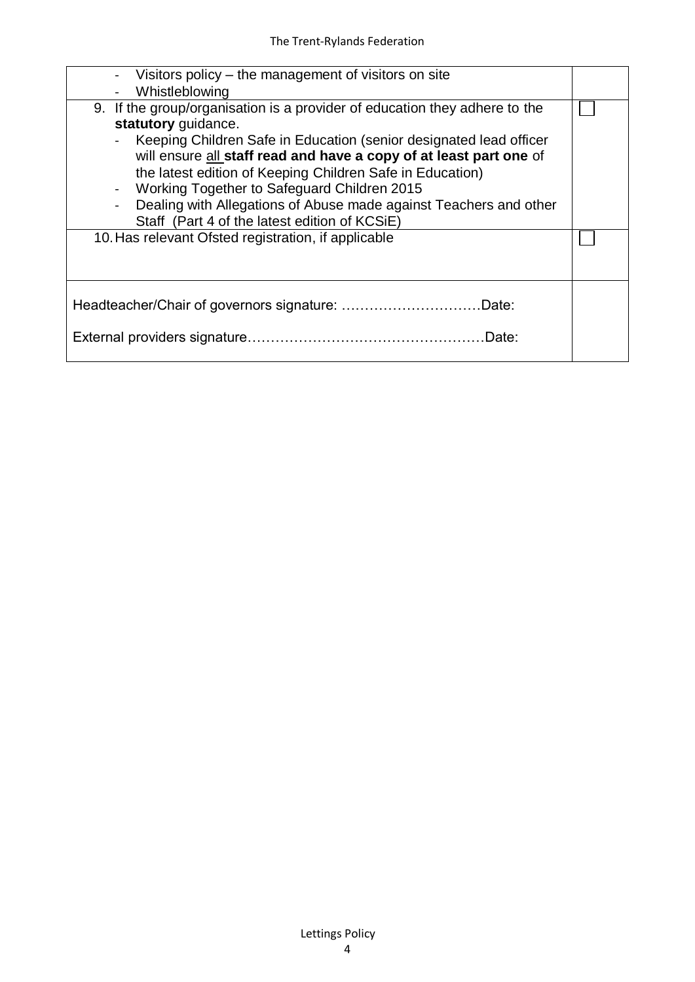| Visitors policy – the management of visitors on site<br>Whistleblowing                                                                                                                                                                                                                                                                                                                                                                                                                                                                   |  |
|------------------------------------------------------------------------------------------------------------------------------------------------------------------------------------------------------------------------------------------------------------------------------------------------------------------------------------------------------------------------------------------------------------------------------------------------------------------------------------------------------------------------------------------|--|
| 9. If the group/organisation is a provider of education they adhere to the<br>statutory guidance.<br>- Keeping Children Safe in Education (senior designated lead officer<br>will ensure all staff read and have a copy of at least part one of<br>the latest edition of Keeping Children Safe in Education)<br>Working Together to Safeguard Children 2015<br>Dealing with Allegations of Abuse made against Teachers and other<br>Staff (Part 4 of the latest edition of KCSiE)<br>10. Has relevant Ofsted registration, if applicable |  |
|                                                                                                                                                                                                                                                                                                                                                                                                                                                                                                                                          |  |
| .Date:                                                                                                                                                                                                                                                                                                                                                                                                                                                                                                                                   |  |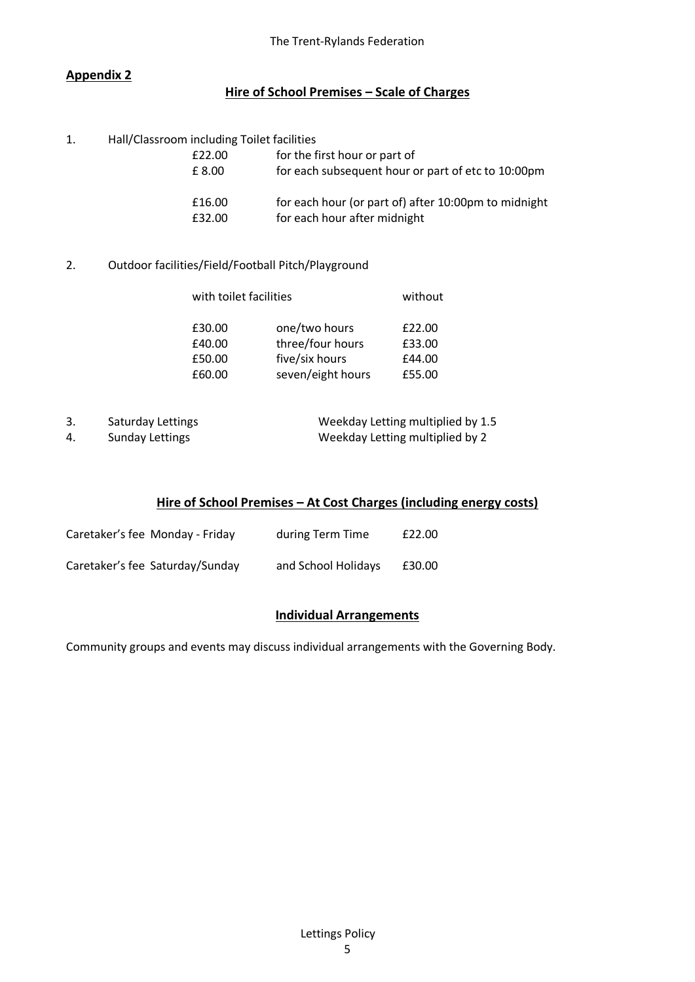#### **Hire of School Premises – Scale of Charges**

1. Hall/Classroom including Toilet facilities

| £22.00 | for the first hour or part of                        |
|--------|------------------------------------------------------|
| £8.00  | for each subsequent hour or part of etc to 10:00pm   |
| £16.00 | for each hour (or part of) after 10:00pm to midnight |
| £32.00 | for each hour after midnight                         |

2. Outdoor facilities/Field/Football Pitch/Playground

| with toilet facilities |                   | without |
|------------------------|-------------------|---------|
| £30.00                 | one/two hours     | £22.00  |
| £40.00                 | three/four hours  | £33.00  |
| £50.00                 | five/six hours    | £44.00  |
| £60.00                 | seven/eight hours | £55.00  |

3. Saturday Lettings Weekday Letting multiplied by 1.5 4. Sunday Lettings Weekday Letting multiplied by 2

#### **Hire of School Premises - At Cost Charges (including energy costs)**

| Caretaker's fee Monday - Friday | during Term Time    | £22.00 |
|---------------------------------|---------------------|--------|
| Caretaker's fee Saturday/Sunday | and School Holidays | £30.00 |

#### **Individual Arrangements**

Community groups and events may discuss individual arrangements with the Governing Body.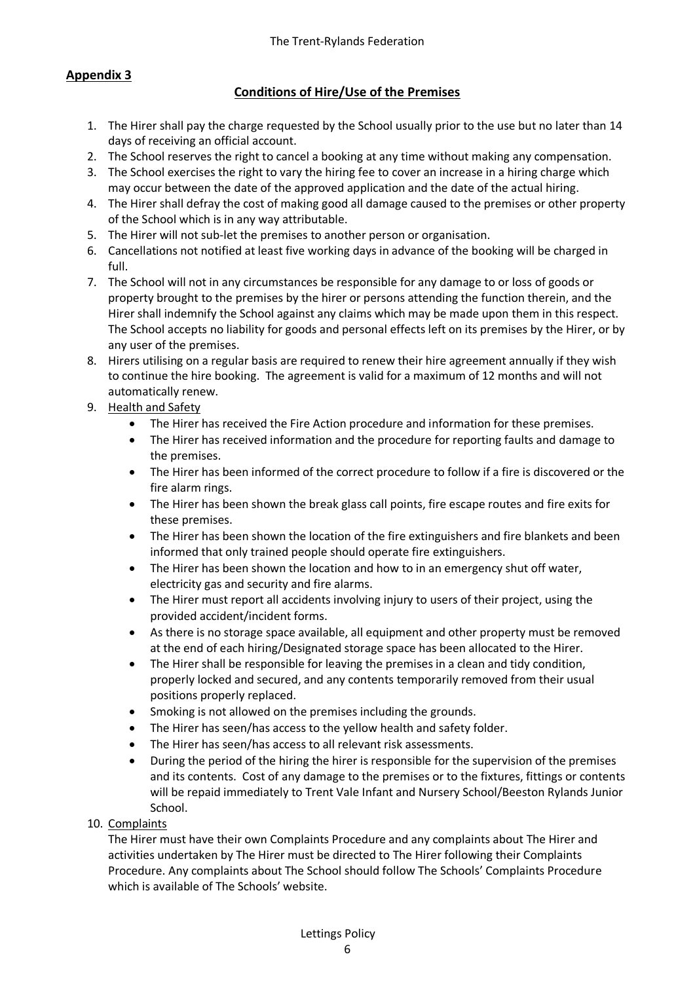# **Conditions of Hire/Use of the Premises**

- 1. The Hirer shall pay the charge requested by the School usually prior to the use but no later than 14 days of receiving an official account.
- 2. The School reserves the right to cancel a booking at any time without making any compensation.
- 3. The School exercises the right to vary the hiring fee to cover an increase in a hiring charge which may occur between the date of the approved application and the date of the actual hiring.
- 4. The Hirer shall defray the cost of making good all damage caused to the premises or other property of the School which is in any way attributable.
- 5. The Hirer will not sub-let the premises to another person or organisation.
- 6. Cancellations not notified at least five working days in advance of the booking will be charged in full.
- 7. The School will not in any circumstances be responsible for any damage to or loss of goods or property brought to the premises by the hirer or persons attending the function therein, and the Hirer shall indemnify the School against any claims which may be made upon them in this respect. The School accepts no liability for goods and personal effects left on its premises by the Hirer, or by any user of the premises.
- 8. Hirers utilising on a regular basis are required to renew their hire agreement annually if they wish to continue the hire booking. The agreement is valid for a maximum of 12 months and will not automatically renew.
- 9. Health and Safety
	- The Hirer has received the Fire Action procedure and information for these premises.
	- The Hirer has received information and the procedure for reporting faults and damage to the premises.
	- The Hirer has been informed of the correct procedure to follow if a fire is discovered or the fire alarm rings.
	- The Hirer has been shown the break glass call points, fire escape routes and fire exits for these premises.
	- The Hirer has been shown the location of the fire extinguishers and fire blankets and been informed that only trained people should operate fire extinguishers.
	- The Hirer has been shown the location and how to in an emergency shut off water, electricity gas and security and fire alarms.
	- The Hirer must report all accidents involving injury to users of their project, using the provided accident/incident forms.
	- As there is no storage space available, all equipment and other property must be removed at the end of each hiring/Designated storage space has been allocated to the Hirer.
	- The Hirer shall be responsible for leaving the premises in a clean and tidy condition, properly locked and secured, and any contents temporarily removed from their usual positions properly replaced.
	- Smoking is not allowed on the premises including the grounds.
	- The Hirer has seen/has access to the yellow health and safety folder.
	- The Hirer has seen/has access to all relevant risk assessments.
	- During the period of the hiring the hirer is responsible for the supervision of the premises and its contents. Cost of any damage to the premises or to the fixtures, fittings or contents will be repaid immediately to Trent Vale Infant and Nursery School/Beeston Rylands Junior School.
- 10. Complaints

The Hirer must have their own Complaints Procedure and any complaints about The Hirer and activities undertaken by The Hirer must be directed to The Hirer following their Complaints Procedure. Any complaints about The School should follow The Schools' Complaints Procedure which is available of The Schools' website.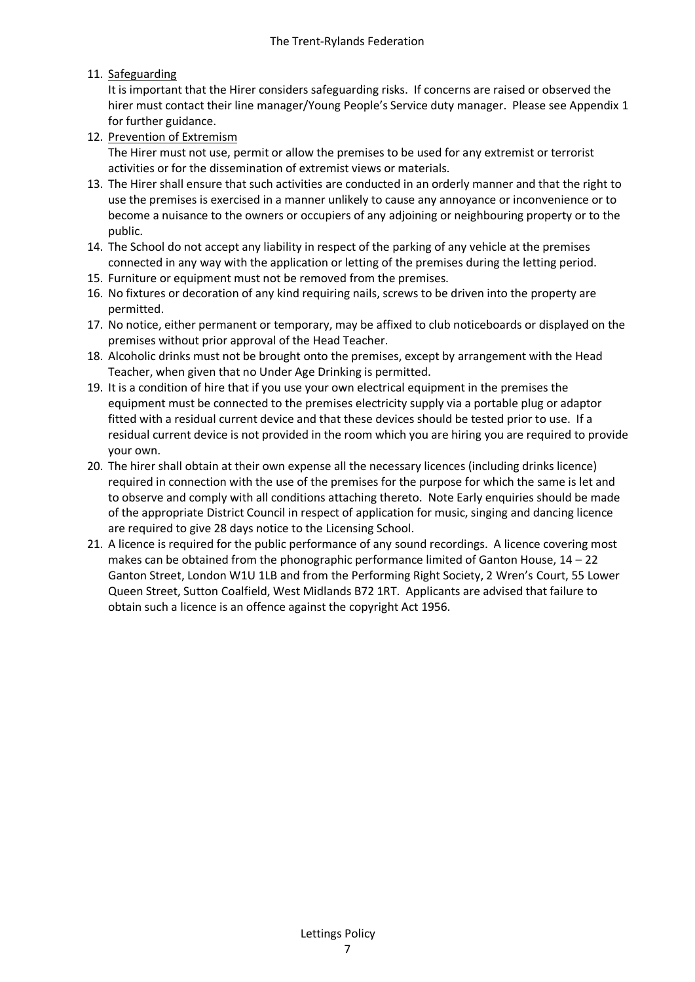## 11. Safeguarding

It is important that the Hirer considers safeguarding risks. If concerns are raised or observed the hirer must contact their line manager/Young People's Service duty manager. Please see Appendix 1 for further guidance.

12. Prevention of Extremism

The Hirer must not use, permit or allow the premises to be used for any extremist or terrorist activities or for the dissemination of extremist views or materials.

- 13. The Hirer shall ensure that such activities are conducted in an orderly manner and that the right to use the premises is exercised in a manner unlikely to cause any annoyance or inconvenience or to become a nuisance to the owners or occupiers of any adjoining or neighbouring property or to the public.
- 14. The School do not accept any liability in respect of the parking of any vehicle at the premises connected in any way with the application or letting of the premises during the letting period.
- 15. Furniture or equipment must not be removed from the premises.
- 16. No fixtures or decoration of any kind requiring nails, screws to be driven into the property are permitted.
- 17. No notice, either permanent or temporary, may be affixed to club noticeboards or displayed on the premises without prior approval of the Head Teacher.
- 18. Alcoholic drinks must not be brought onto the premises, except by arrangement with the Head Teacher, when given that no Under Age Drinking is permitted.
- 19. It is a condition of hire that if you use your own electrical equipment in the premises the equipment must be connected to the premises electricity supply via a portable plug or adaptor fitted with a residual current device and that these devices should be tested prior to use. If a residual current device is not provided in the room which you are hiring you are required to provide your own.
- 20. The hirer shall obtain at their own expense all the necessary licences (including drinks licence) required in connection with the use of the premises for the purpose for which the same is let and to observe and comply with all conditions attaching thereto. Note Early enquiries should be made of the appropriate District Council in respect of application for music, singing and dancing licence are required to give 28 days notice to the Licensing School.
- 21. A licence is required for the public performance of any sound recordings. A licence covering most makes can be obtained from the phonographic performance limited of Ganton House, 14 – 22 Ganton Street, London W1U 1LB and from the Performing Right Society, 2 Wren's Court, 55 Lower Queen Street, Sutton Coalfield, West Midlands B72 1RT. Applicants are advised that failure to obtain such a licence is an offence against the copyright Act 1956.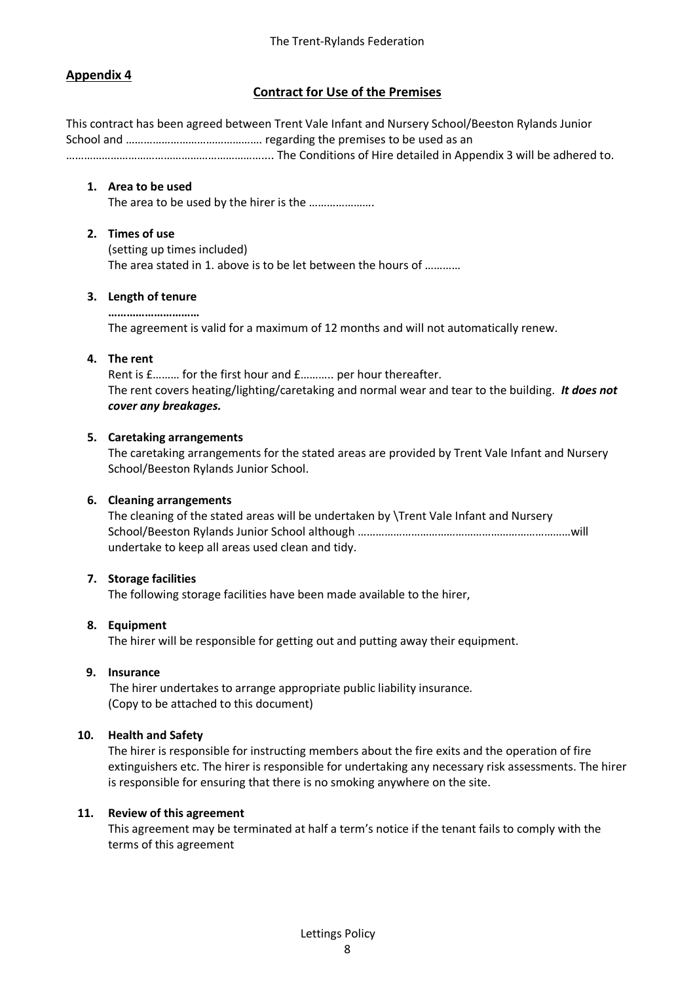# **Contract for Use of the Premises**

This contract has been agreed between Trent Vale Infant and Nursery School/Beeston Rylands Junior School and ………………………………………. regarding the premises to be used as an ………………………………………………………….... The Conditions of Hire detailed in Appendix 3 will be adhered to.

#### **1. Area to be used**

The area to be used by the hirer is the ......................

#### **2. Times of use**

(setting up times included) The area stated in 1. above is to be let between the hours of …………

#### **3. Length of tenure**

**…………………………** The agreement is valid for a maximum of 12 months and will not automatically renew.

#### **4. The rent**

Rent is £……… for the first hour and £……….. per hour thereafter. The rent covers heating/lighting/caretaking and normal wear and tear to the building. *It does not cover any breakages.*

#### **5. Caretaking arrangements**

The caretaking arrangements for the stated areas are provided by Trent Vale Infant and Nursery School/Beeston Rylands Junior School.

#### **6. Cleaning arrangements**

The cleaning of the stated areas will be undertaken by \Trent Vale Infant and Nursery School/Beeston Rylands Junior School although ………………………………………………………………will undertake to keep all areas used clean and tidy.

#### **7. Storage facilities**

The following storage facilities have been made available to the hirer,

#### **8. Equipment**

The hirer will be responsible for getting out and putting away their equipment.

#### **9. Insurance**

The hirer undertakes to arrange appropriate public liability insurance. (Copy to be attached to this document)

#### **10. Health and Safety**

The hirer is responsible for instructing members about the fire exits and the operation of fire extinguishers etc. The hirer is responsible for undertaking any necessary risk assessments. The hirer is responsible for ensuring that there is no smoking anywhere on the site.

#### **11. Review of this agreement**

This agreement may be terminated at half a term's notice if the tenant fails to comply with the terms of this agreement